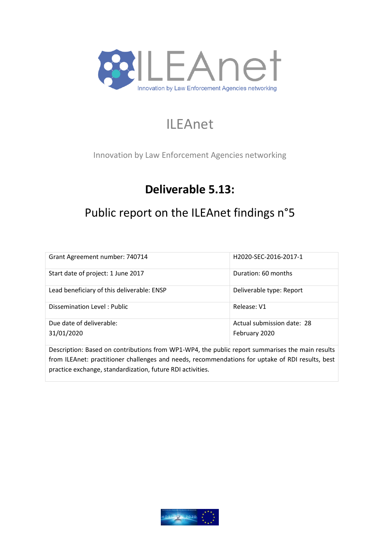

# ILEAnet

Innovation by Law Enforcement Agencies networking

# **Deliverable 5.13:**

# Public report on the ILEAnet findings n°5

| Grant Agreement number: 740714             | H2020-SEC-2016-2017-1                       |
|--------------------------------------------|---------------------------------------------|
| Start date of project: 1 June 2017         | Duration: 60 months                         |
| Lead beneficiary of this deliverable: ENSP | Deliverable type: Report                    |
| Dissemination Level: Public                | Release: V1                                 |
| Due date of deliverable:<br>31/01/2020     | Actual submission date: 28<br>February 2020 |

Description: Based on contributions from WP1-WP4, the public report summarises the main results from ILEAnet: practitioner challenges and needs, recommendations for uptake of RDI results, best practice exchange, standardization, future RDI activities.

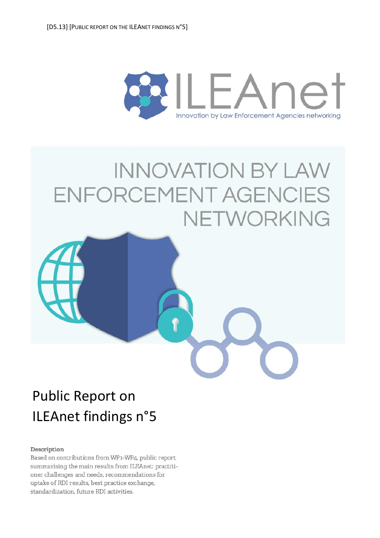<span id="page-1-0"></span>

# **INNOVATION BY LAW** ENFORCEMENT AGENCIES NETWORKING



#### Description

Based on contributions from WP1-WP4, public report summarising the main results from ILEAnet: practitioner challenges and needs, recommendations for uptake of RDI results, best practice exchange, standardization, future RDI activities.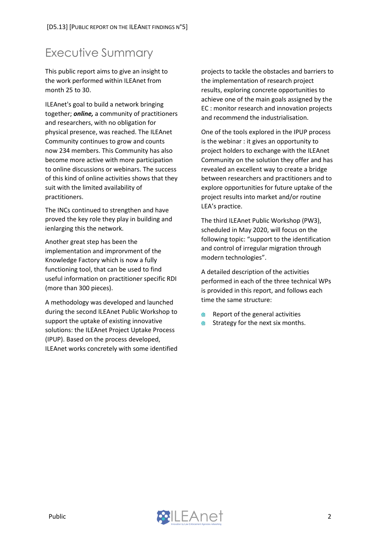### <span id="page-2-0"></span>Executive Summary

This public report aims to give an insight to the work performed within ILEAnet from month 25 to 30.

ILEAnet's goal to build a network bringing together; *online,* a community of practitioners and researchers, with no obligation for physical presence, was reached. The ILEAnet Community continues to grow and counts now 234 members. This Community has also become more active with more participation to online discussions or webinars. The success of this kind of online activities shows that they suit with the limited availability of practitioners.

The INCs continued to strengthen and have proved the key role they play in building and ienlarging this the network.

Another great step has been the implementation and improrvment of the Knowledge Factory which is now a fully functioning tool, that can be used to find useful information on practitioner specific RDI (more than 300 pieces).

A methodology was developed and launched during the second ILEAnet Public Workshop to support the uptake of existing innovative solutions: the ILEAnet Project Uptake Process (IPUP). Based on the process developed, ILEAnet works concretely with some identified

projects to tackle the obstacles and barriers to the implementation of research project results, exploring concrete opportunities to achieve one of the main goals assigned by the EC : monitor research and innovation projects and recommend the industrialisation.

One of the tools explored in the IPUP process is the webinar : it gives an opportunity to project holders to exchange with the ILEAnet Community on the solution they offer and has revealed an excellent way to create a bridge between researchers and practitioners and to explore opportunities for future uptake of the project results into market and/or routine LEA's practice.

The third ILEAnet Public Workshop (PW3), scheduled in May 2020, will focus on the following topic: "support to the identification and control of irregular migration through modern technologies".

A detailed description of the activities performed in each of the three technical WPs is provided in this report, and follows each time the same structure:

- Report of the general activities
- Strategy for the next six months.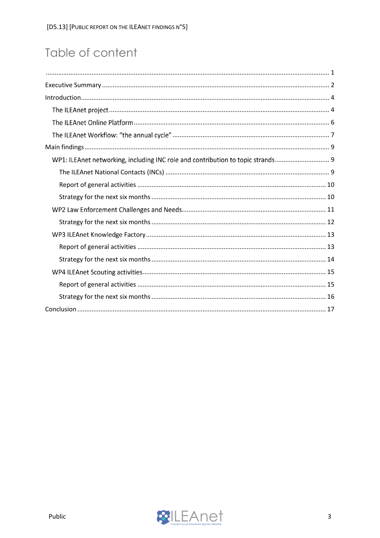# Table of content

| WP1: ILEAnet networking, including INC role and contribution to topic strands |  |
|-------------------------------------------------------------------------------|--|
|                                                                               |  |
|                                                                               |  |
|                                                                               |  |
|                                                                               |  |
|                                                                               |  |
|                                                                               |  |
|                                                                               |  |
|                                                                               |  |
|                                                                               |  |
|                                                                               |  |
|                                                                               |  |
|                                                                               |  |

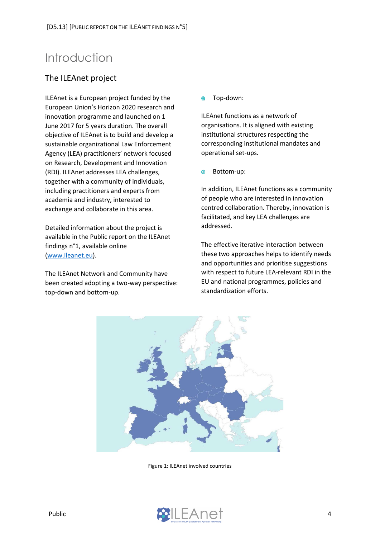### <span id="page-4-0"></span>Introduction

#### <span id="page-4-1"></span>The ILEAnet project

ILEAnet is a European project funded by the European Union's Horizon 2020 research and innovation programme and launched on 1 June 2017 for 5 years duration. The overall objective of ILEAnet is to build and develop a sustainable organizational Law Enforcement Agency (LEA) practitioners' network focused on Research, Development and Innovation (RDI). ILEAnet addresses LEA challenges, together with a community of individuals, including practitioners and experts from academia and industry, interested to exchange and collaborate in this area.

Detailed information about the project is available in the Public report on the ILEAnet findings n°1, available online [\(www.ileanet.eu\)](file://///srv-ensp-fic11/enspservices$/DSFR/DRVPD/RECHERCHE/ACTIONS%20DE%20RECHERCHE/1-CE-ILEAnet-H2020-!/3.%20Progression/ILEAnet%20Deliverables/D.5.13/www.ileanet.eu).

The ILEAnet Network and Community have been created adopting a two-way perspective: top-down and bottom-up.

 $\blacksquare$ Top-down:

ILEAnet functions as a network of organisations. It is aligned with existing institutional structures respecting the corresponding institutional mandates and operational set-ups.

Bottom-up:

In addition, ILEAnet functions as a community of people who are interested in innovation centred collaboration. Thereby, innovation is facilitated, and key LEA challenges are addressed.

The effective iterative interaction between these two approaches helps to identify needs and opportunities and prioritise suggestions with respect to future LEA-relevant RDI in the EU and national programmes, policies and standardization efforts.



Figure 1: ILEAnet involved countries

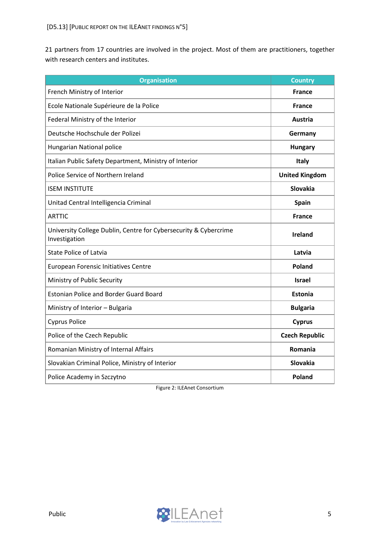21 partners from 17 countries are involved in the project. Most of them are practitioners, together with research centers and institutes.

| <b>Organisation</b>                                                               | <b>Country</b>        |
|-----------------------------------------------------------------------------------|-----------------------|
| French Ministry of Interior                                                       | <b>France</b>         |
| Ecole Nationale Supérieure de la Police                                           | <b>France</b>         |
| Federal Ministry of the Interior                                                  | <b>Austria</b>        |
| Deutsche Hochschule der Polizei                                                   | Germany               |
| Hungarian National police                                                         | <b>Hungary</b>        |
| Italian Public Safety Department, Ministry of Interior                            | <b>Italy</b>          |
| Police Service of Northern Ireland                                                | <b>United Kingdom</b> |
| <b>ISEM INSTITUTE</b>                                                             | <b>Slovakia</b>       |
| Unitad Central Intelligencia Criminal                                             | <b>Spain</b>          |
| <b>ARTTIC</b>                                                                     | <b>France</b>         |
| University College Dublin, Centre for Cybersecurity & Cybercrime<br>Investigation | <b>Ireland</b>        |
| <b>State Police of Latvia</b>                                                     | Latvia                |
| European Forensic Initiatives Centre                                              | <b>Poland</b>         |
| Ministry of Public Security                                                       | <b>Israel</b>         |
| <b>Estonian Police and Border Guard Board</b>                                     | <b>Estonia</b>        |
| Ministry of Interior - Bulgaria                                                   | <b>Bulgaria</b>       |
| <b>Cyprus Police</b>                                                              | <b>Cyprus</b>         |
| Police of the Czech Republic                                                      | <b>Czech Republic</b> |
| Romanian Ministry of Internal Affairs                                             | Romania               |
| Slovakian Criminal Police, Ministry of Interior                                   | Slovakia              |
| Police Academy in Szczytno                                                        | Poland                |

Figure 2: ILEAnet Consortium

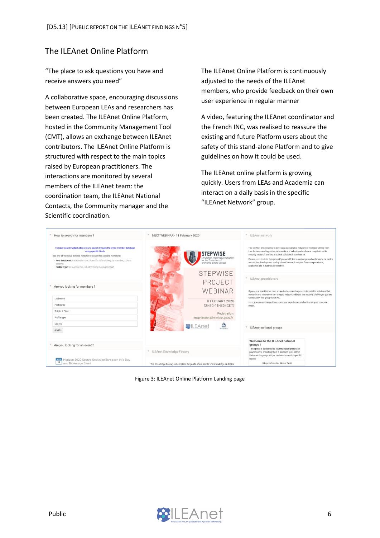#### <span id="page-6-0"></span>The ILEAnet Online Platform

"The place to ask questions you have and receive answers you need"

A collaborative space, encouraging discussions between European LEAs and researchers has been created. The ILEAnet Online Platform, hosted in the Community Management Tool (CMT), allows an exchange between ILEAnet contributors. The ILEAnet Online Platform is structured with respect to the main topics raised by European practitioners. The interactions are monitored by several members of the ILEAnet team: the coordination team, the ILEAnet National Contacts, the Community manager and the Scientific coordination.

The ILEAnet Online Platform is continuously adjusted to the needs of the ILEAnet members, who provide feedback on their own user experience in regular manner

A video, featuring the ILEAnet coordinator and the French INC, was realised to reassure the existing and future Platform users about the safety of this stand-alone Platform and to give guidelines on how it could be used.

The ILEAnet online platform is growing quickly. Users from LEAs and Academia can interact on a daily basis in the specific "ILEAnet Network" group.

| How to search for members ?                                                                                                                                                                                                                                                                                                                           | NEXT WEBINAR - 11 February 2020                                                                 | v.<br>ILEAnet network                                                                                                                                                                                                                                                                                                                                                                                                                                |
|-------------------------------------------------------------------------------------------------------------------------------------------------------------------------------------------------------------------------------------------------------------------------------------------------------------------------------------------------------|-------------------------------------------------------------------------------------------------|------------------------------------------------------------------------------------------------------------------------------------------------------------------------------------------------------------------------------------------------------------------------------------------------------------------------------------------------------------------------------------------------------------------------------------------------------|
| The user search widget allows you to search through the entire member database<br>using specific fields<br>Use one of the value defined hereafer to search for specific members:<br>. Role in ILEAnet: Coordination, INC, Scientific referent, Regular member, ILEAnet<br>external<br>· Profile Type: LEA, Academia, Industry, Policy making, Support | STEPWISE<br>Simulation, Training & Evaluation<br>for the Protection of<br>croWded public SpacEs | The ILEAnet project aims to develop a sustainable network of representatives from<br>Law Enforcement Agencies, Academia and Industry who share a deep interest in<br>security research and the practical solutions it can lead to.<br>Please participate in this group if you would like to exchange and collaborate on topics<br>around the development and uptake of research outputs from an operational,<br>academic and industrial perspective. |
|                                                                                                                                                                                                                                                                                                                                                       | <b>STEPWISE</b>                                                                                 |                                                                                                                                                                                                                                                                                                                                                                                                                                                      |
|                                                                                                                                                                                                                                                                                                                                                       | PROJECT                                                                                         | ILEAnet practitioners                                                                                                                                                                                                                                                                                                                                                                                                                                |
| Are you looking for members ?                                                                                                                                                                                                                                                                                                                         | WEBINAR                                                                                         | If you are a practitioner from a Law Enforcement Agency interested in solutions that                                                                                                                                                                                                                                                                                                                                                                 |
| Last name                                                                                                                                                                                                                                                                                                                                             | 11 FEBUARY 2020                                                                                 | research and innovation can bring to help you address the security challenges you are<br>facing daily, this group is for you.                                                                                                                                                                                                                                                                                                                        |
| First name                                                                                                                                                                                                                                                                                                                                            | 12H30-13H30 (CET)                                                                               | Here, you can exchange ideas, compare experiences and articulate your concrete<br>needs.                                                                                                                                                                                                                                                                                                                                                             |
| Role in ILEAnet                                                                                                                                                                                                                                                                                                                                       | Registration:                                                                                   |                                                                                                                                                                                                                                                                                                                                                                                                                                                      |
| Profile type                                                                                                                                                                                                                                                                                                                                          | ensp-ileanet@interieur.gouv.fr                                                                  |                                                                                                                                                                                                                                                                                                                                                                                                                                                      |
| Country<br>SEARCH                                                                                                                                                                                                                                                                                                                                     | $\frac{\sqrt{2}}{N+1}$<br><b>MILEAnet</b>                                                       | ILEAnet national groups                                                                                                                                                                                                                                                                                                                                                                                                                              |
|                                                                                                                                                                                                                                                                                                                                                       |                                                                                                 | Welcome to the ILEAnet national                                                                                                                                                                                                                                                                                                                                                                                                                      |
| Are you looking for an event?                                                                                                                                                                                                                                                                                                                         |                                                                                                 | groups!                                                                                                                                                                                                                                                                                                                                                                                                                                              |
|                                                                                                                                                                                                                                                                                                                                                       | ILEAnet Knowledge Factory                                                                       | This space is dedicated to country-based groups for<br>practitioners, providing them a platform to debate in<br>their own language and/or to discuss country specific<br>issues.                                                                                                                                                                                                                                                                     |
| Horizon 2020 Secure Societies European Info Day<br>12<br>and Brokerage Event                                                                                                                                                                                                                                                                          | The Knowledge Factory is best place for you to share and to find knowledge on topics            | Liituge rahvusliku rühma: Eesti                                                                                                                                                                                                                                                                                                                                                                                                                      |

Figure 3: ILEAnet Online Platform Landing page

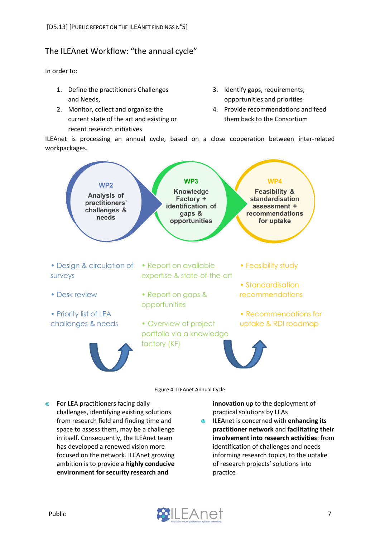#### <span id="page-7-0"></span>The ILEAnet Workflow: "the annual cycle"

In order to:

- 1. Define the practitioners Challenges and Needs,
- 2. Monitor, collect and organise the current state of the art and existing or recent research initiatives
- 3. Identify gaps, requirements, opportunities and priorities
- 4. Provide recommendations and feed them back to the Consortium

ILEAnet is processing an annual cycle, based on a close cooperation between inter-related workpackages.



**●** For LEA practitioners facing daily challenges, identifying existing solutions from research field and finding time and space to assess them, may be a challenge in itself. Consequently, the ILEAnet team has developed a renewed vision more focused on the network. ILEAnet growing ambition is to provide a **highly conducive environment for security research and** 

**innovation** up to the deployment of practical solutions by LEAs

ILEAnet is concerned with **enhancing its**   $\qquad \qquad \bullet$ **practitioner network** and **facilitating their involvement into research activities**: from identification of challenges and needs informing research topics, to the uptake of research projects' solutions into practice

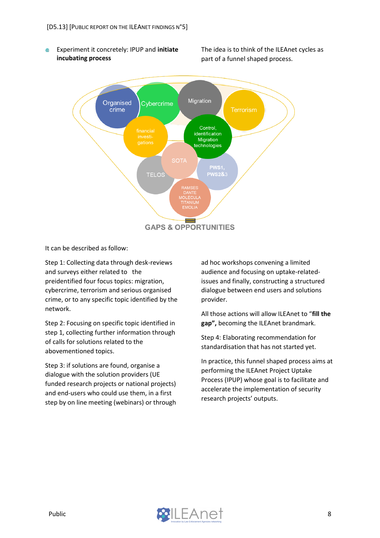Experiment it concretely: IPUP and **initiate**  ⋒ **incubating process** 

The idea is to think of the ILEAnet cycles as part of a funnel shaped process.



It can be described as follow:

Step 1: Collecting data through desk-reviews and surveys either related to the preidentified four focus topics: migration, cybercrime, terrorism and serious organised crime, or to any specific topic identified by the network.

Step 2: Focusing on specific topic identified in step 1, collecting further information through of calls for solutions related to the abovementioned topics.

Step 3: if solutions are found, organise a dialogue with the solution providers (UE funded research projects or national projects) and end-users who could use them, in a first step by on line meeting (webinars) or through ad hoc workshops convening a limited audience and focusing on uptake-relatedissues and finally, constructing a structured dialogue between end users and solutions provider.

All those actions will allow ILEAnet to "**fill the gap",** becoming the ILEAnet brandmark.

Step 4: Elaborating recommendation for standardisation that has not started yet.

In practice, this funnel shaped process aims at performing the ILEAnet Project Uptake Process (IPUP) whose goal is to facilitate and accelerate the implementation of security research projects' outputs.

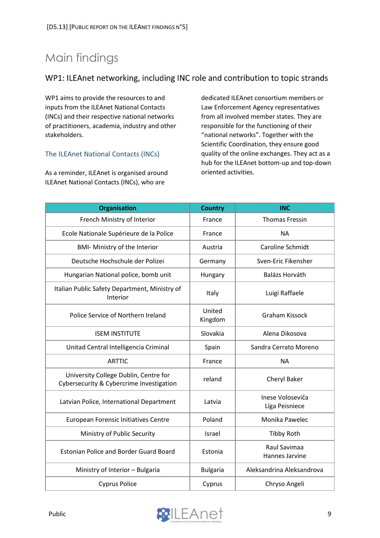# <span id="page-9-0"></span>Main findings

#### <span id="page-9-1"></span>WP1: ILEAnet networking, including INC role and contribution to topic strands

WP1 aims to provide the resources to and inputs from the ILEAnet National Contacts (INCs) and their respective national networks of practitioners, academia, industry and other stakeholders.

#### <span id="page-9-2"></span>The ILEAnet National Contacts (INCs)

As a reminder, ILEAnet is organised around ILEAnet National Contacts (INCs), who are

dedicated ILEAnet consortium members or Law Enforcement Agency representatives from all involved member states. They are responsible for the functioning of their "national networks". Together with the Scientific Coordination, they ensure good quality of the online exchanges. They act as a hub for the ILEAnet bottom-up and top-down oriented activities.

| <b>Organisation</b>                                                               | <b>Country</b>    | <b>INC</b>                         |
|-----------------------------------------------------------------------------------|-------------------|------------------------------------|
| French Ministry of Interior                                                       | France            | <b>Thomas Fressin</b>              |
| Ecole Nationale Supérieure de la Police                                           | France            | <b>NA</b>                          |
| <b>BMI- Ministry of the Interior</b>                                              | Austria           | Caroline Schmidt                   |
| Deutsche Hochschule der Polizei                                                   | Germany           | Sven-Eric Fikensher                |
| Hungarian National police, bomb unit                                              | Hungary           | Balázs Horváth                     |
| Italian Public Safety Department, Ministry of<br>Interior                         | Italy             | Luigi Raffaele                     |
| Police Service of Northern Ireland                                                | United<br>Kingdom | <b>Graham Kissock</b>              |
| <b>ISEM INSTITUTE</b>                                                             | Slovakia          | Alena Dikosova                     |
| Unitad Central Intelligencia Criminal                                             | Spain             | Sandra Cerrato Moreno              |
| <b>ARTTIC</b>                                                                     | France            | <b>NA</b>                          |
| University College Dublin, Centre for<br>Cybersecurity & Cybercrime Investigation | reland            | Cheryl Baker                       |
| Latvian Police, International Department                                          | Latvia            | Inese Voloseviča<br>Līga Peisniece |
| European Forensic Initiatives Centre                                              | Poland            | Monika Pawelec                     |
| Ministry of Public Security                                                       | Israel            | <b>Tibby Roth</b>                  |
| <b>Estonian Police and Border Guard Board</b>                                     | Estonia           | Raul Savimaa<br>Hannes Jarvine     |
| Ministry of Interior - Bulgaria                                                   | <b>Bulgaria</b>   | Aleksandrina Aleksandrova          |
| <b>Cyprus Police</b>                                                              | Cyprus            | Chryso Angeli                      |

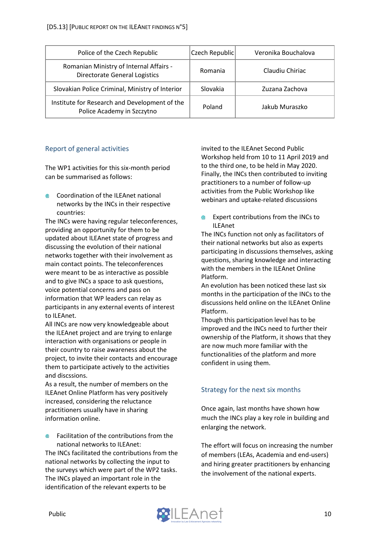| Police of the Czech Republic                                                    | Czech Republic | Veronika Bouchalova |
|---------------------------------------------------------------------------------|----------------|---------------------|
| Romanian Ministry of Internal Affairs -<br><b>Directorate General Logistics</b> | Romania        | Claudiu Chiriac     |
| Slovakian Police Criminal, Ministry of Interior                                 | Slovakia       | Zuzana Zachova      |
| Institute for Research and Development of the<br>Police Academy in Szczytno     | Poland         | Jakub Muraszko      |

#### <span id="page-10-0"></span>Report of general activities

The WP1 activities for this six-month period can be summarised as follows:

Coordination of the ILEAnet national networks by the INCs in their respective countries:

The INCs were having regular teleconferences, providing an opportunity for them to be updated about ILEAnet state of progress and discussing the evolution of their national networks together with their involvement as main contact points. The teleconferences were meant to be as interactive as possible and to give INCs a space to ask questions, voice potential concerns and pass on information that WP leaders can relay as participants in any external events of interest to ILEAnet.

All INCs are now very knowledgeable about the ILEAnet project and are trying to enlarge interaction with organisations or people in their country to raise awareness about the project, to invite their contacts and encourage them to participate actively to the activities and discssions.

As a result, the number of members on the ILEAnet Online Platform has very positively increased, considering the reluctance practitioners usually have in sharing information online.

Facilitation of the contributions from the national networks to ILEAnet:

The INCs facilitated the contributions from the national networks by collecting the input to the surveys which were part of the WP2 tasks. The INCs played an important role in the identification of the relevant experts to be

invited to the ILEAnet Second Public Workshop held from 10 to 11 April 2019 and to the third one, to be held in May 2020. Finally, the INCs then contributed to inviting practitioners to a number of follow-up activities from the Public Workshop like webinars and uptake-related discussions

**Expert contributions from the INCs to** ILEAnet

The INCs function not only as facilitators of their national networks but also as experts participating in discussions themselves, asking questions, sharing knowledge and interacting with the members in the ILEAnet Online Platform.

An evolution has been noticed these last six months in the participation of the INCs to the discussions held online on the ILEAnet Online Platform.

Though this participation level has to be improved and the INCs need to further their ownership of the Platform, it shows that they are now much more familiar with the functionalities of the platform and more confident in using them.

#### <span id="page-10-1"></span>Strategy for the next six months

Once again, last months have shown how much the INCs play a key role in building and enlarging the network.

The effort will focus on increasing the number of members (LEAs, Academia and end-users) and hiring greater practitioners by enhancing the involvement of the national experts.

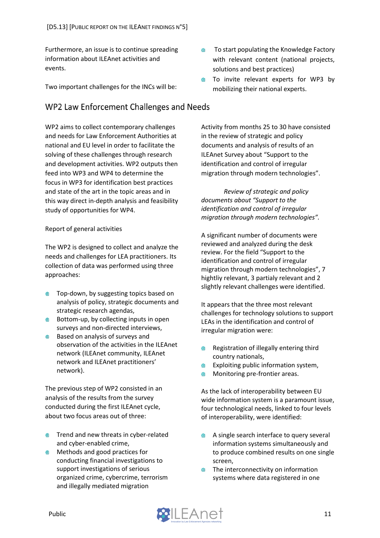Furthermore, an issue is to continue spreading information about ILEAnet activities and events.

Two important challenges for the INCs will be:

#### <span id="page-11-0"></span>WP2 Law Enforcement Challenges and Needs

WP2 aims to collect contemporary challenges and needs for Law Enforcement Authorities at national and EU level in order to facilitate the solving of these challenges through research and development activities. WP2 outputs then feed into WP3 and WP4 to determine the focus in WP3 for identification best practices and state of the art in the topic areas and in this way direct in-depth analysis and feasibility study of opportunities for WP4.

#### Report of general activities

The WP2 is designed to collect and analyze the needs and challenges for LEA practitioners. Its collection of data was performed using three approaches:

- Top-down, by suggesting topics based on analysis of policy, strategic documents and strategic research agendas,
- Bottom-up, by collecting inputs in open surveys and non-directed interviews,
- **●** Based on analysis of surveys and observation of the activities in the ILEAnet network (ILEAnet community, ILEAnet network and ILEAnet practitioners' network).

The previous step of WP2 consisted in an analysis of the results from the survey conducted during the first ILEAnet cycle, about two focus areas out of three:

- **Trend and new threats in cyber-related** and cyber-enabled crime,
- Methods and good practices for conducting financial investigations to support investigations of serious organized crime, cybercrime, terrorism and illegally mediated migration
- To start populating the Knowledge Factory ⊕ with relevant content (national projects, solutions and best practices)
- To invite relevant experts for WP3 by ⋒ mobilizing their national experts.

Activity from months 25 to 30 have consisted in the review of strategic and policy documents and analysis of results of an ILEAnet Survey about "Support to the identification and control of irregular migration through modern technologies".

*Review of strategic and policy documents about "Support to the identification and control of irregular migration through modern technologies".*

A significant number of documents were reviewed and analyzed during the desk review. For the field "Support to the identification and control of irregular migration through modern technologies", 7 hightliy relevant, 3 partialy relevant and 2 slightly relevant challenges were identified.

It appears that the three most relevant challenges for technology solutions to support LEAs in the identification and control of irregular migration were:

- Registration of illegally entering third ⊕ country nationals,
- Exploiting public information system, ⋒
- Monitoring pre-frontier areas.  $\qquad \qquad \oplus$

As the lack of interoperability between EU wide information system is a paramount issue, four technological needs, linked to four levels of interoperability, were identified:

- A single search interface to query several ⊕ information systems simultaneously and to produce combined results on one single screen,
- The interconnectivity on information systems where data registered in one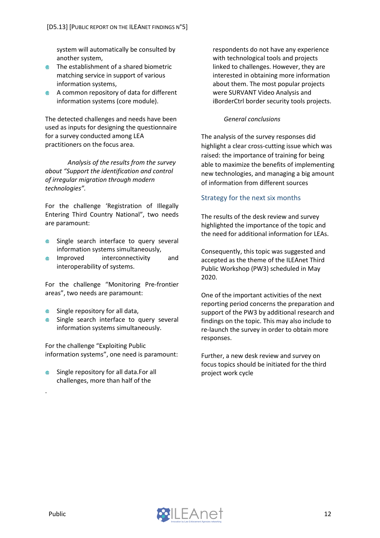system will automatically be consulted by another system,

- **The establishment of a shared biometric** matching service in support of various information systems,
- A common repository of data for different information systems (core module).

The detected challenges and needs have been used as inputs for designing the questionnaire for a survey conducted among LEA practitioners on the focus area.

*Analysis of the results from the survey about "Support the identification and control of irregular migration through modern technologies".*

For the challenge 'Registration of Illegally Entering Third Country National", two needs are paramount:

- Single search interface to query several **All Contracts** information systems simultaneously,
- Improved interconnectivity and interoperability of systems.

For the challenge "Monitoring Pre-frontier areas", two needs are paramount:

- Single repository for all data, **Alla**
- Single search interface to query several information systems simultaneously.

For the challenge "Exploiting Public information systems", one need is paramount:

Single repository for all data.For all challenges, more than half of the

respondents do not have any experience with technological tools and projects linked to challenges. However, they are interested in obtaining more information about them. The most popular projects were SURVANT Video Analysis and iBorderCtrl border security tools projects.

#### *General conclusions*

The analysis of the survey responses did highlight a clear cross-cutting issue which was raised: the importance of training for being able to maximize the benefits of implementing new technologies, and managing a big amount of information from different sources

#### <span id="page-12-0"></span>Strategy for the next six months

The results of the desk review and survey highlighted the importance of the topic and the need for additional information for LEAs.

Consequently, this topic was suggested and accepted as the theme of the ILEAnet Third Public Workshop (PW3) scheduled in May 2020.

One of the important activities of the next reporting period concerns the preparation and support of the PW3 by additional research and findings on the topic. This may also include to re-launch the survey in order to obtain more responses.

Further, a new desk review and survey on focus topics should be initiated for the third project work cycle



.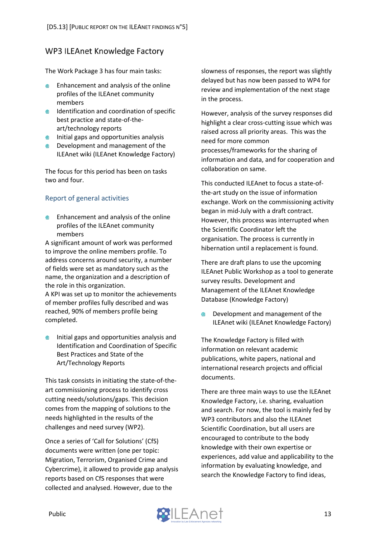#### <span id="page-13-0"></span>**WP3 ILEAnet Knowledge Factory**

The Work Package 3 has four main tasks:

- Enhancement and analysis of the online profiles of the ILEAnet community members
- **IDENTIFICATION AND COORDINATION OF SPECIFIC** best practice and state-of-theart/technology reports
- $\bullet$  Initial gaps and opportunities analysis
- **EXECUTE:** Development and management of the ILEAnet wiki (ILEAnet Knowledge Factory)

The focus for this period has been on tasks two and four.

#### <span id="page-13-1"></span>Report of general activities

Enhancement and analysis of the online profiles of the ILEAnet community members

A significant amount of work was performed to improve the online members profile. To address concerns around security, a number of fields were set as mandatory such as the name, the organization and a description of the role in this organization.

A KPI was set up to monitor the achievements of member profiles fully described and was reached, 90% of members profile being completed.

Initial gaps and opportunities analysis and ● Identification and Coordination of Specific Best Practices and State of the Art/Technology Reports

This task consists in initiating the state-of-theart commissioning process to identify cross cutting needs/solutions/gaps. This decision comes from the mapping of solutions to the needs highlighted in the results of the challenges and need survey (WP2).

Once a series of 'Call for Solutions' (CfS) documents were written (one per topic: Migration, Terrorism, Organised Crime and Cybercrime), it allowed to provide gap analysis reports based on CfS responses that were collected and analysed. However, due to the

slowness of responses, the report was slightly delayed but has now been passed to WP4 for review and implementation of the next stage in the process.

However, analysis of the survey responses did highlight a clear cross-cutting issue which was raised across all priority areas. This was the need for more common processes/frameworks for the sharing of information and data, and for cooperation and collaboration on same.

This conducted ILEAnet to focus a state-ofthe-art study on the issue of information exchange. Work on the commissioning activity began in mid-July with a draft contract. However, this process was interrupted when the Scientific Coordinator left the organisation. The process is currently in hibernation until a replacement is found.

There are draft plans to use the upcoming ILEAnet Public Workshop as a tool to generate survey results. Development and Management of the ILEAnet Knowledge Database (Knowledge Factory)

 $\blacksquare$ Development and management of the ILEAnet wiki (ILEAnet Knowledge Factory)

The Knowledge Factory is filled with information on relevant academic publications, white papers, national and international research projects and official documents.

There are three main ways to use the ILEAnet Knowledge Factory, i.e. sharing, evaluation and search. For now, the tool is mainly fed by WP3 contributors and also the ILEAnet Scientific Coordination, but all users are encouraged to contribute to the body knowledge with their own expertise or experiences, add value and applicability to the information by evaluating knowledge, and search the Knowledge Factory to find ideas,

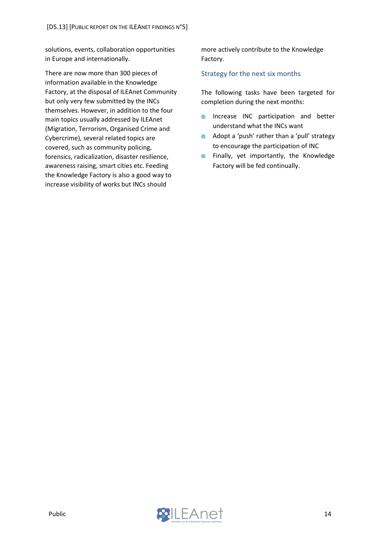solutions, events, collaboration opportunities in Europe and internationally.

There are now more than 300 pieces of information available in the Knowledge Factory, at the disposal of ILEAnet Community but only very few submitted by the INCs themselves. However, in addition to the four main topics usually addressed by ILEAnet (Migration, Terrorism, Organised Crime and Cybercrime), several related topics are covered, such as community policing, forensics, radicalization, disaster resilience, awareness raising, smart cities etc. Feeding the Knowledge Factory is also a good way to increase visibility of works but INCs should

more actively contribute to the Knowledge Factory.

#### <span id="page-14-0"></span>Strategy for the next six months

The following tasks have been targeted for completion during the next months:

- Increase INC participation and better  $\qquad \qquad \textcircled{\tiny{A}}$ understand what the INCs want
- Adopt a 'push' rather than a 'pull' strategy  $\qquad \qquad \oplus$ to encourage the participation of INC
- $\qquad \qquad \bigoplus$ Finally, yet importantly, the Knowledge Factory will be fed continually.

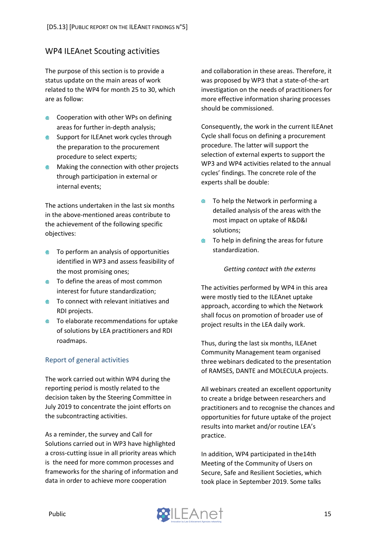#### <span id="page-15-0"></span>**WP4 ILEAnet Scouting activities**

The purpose of this section is to provide a status update on the main areas of work related to the WP4 for month 25 to 30, which are as follow:

- Cooperation with other WPs on defining areas for further in-depth analysis;
- **Support for ILEAnet work cycles through** the preparation to the procurement procedure to select experts;
- **Making the connection with other projects** through participation in external or internal events;

The actions undertaken in the last six months in the above-mentioned areas contribute to the achievement of the following specific objectives:

- To perform an analysis of opportunities ⋒ identified in WP3 and assess feasibility of the most promising ones;
- **●** To define the areas of most common interest for future standardization;
- **■** To connect with relevant initiatives and RDI projects.
- **●** To elaborate recommendations for uptake of solutions by LEA practitioners and RDI roadmaps.

#### <span id="page-15-1"></span>Report of general activities

The work carried out within WP4 during the reporting period is mostly related to the decision taken by the Steering Committee in July 2019 to concentrate the joint efforts on the subcontracting activities.

As a reminder, the survey and Call for Solutions carried out in WP3 have highlighted a cross-cutting issue in all priority areas which is the need for more common processes and frameworks for the sharing of information and data in order to achieve more cooperation

and collaboration in these areas. Therefore, it was proposed by WP3 that a state-of-the-art investigation on the needs of practitioners for more effective information sharing processes should be commissioned.

Consequently, the work in the current ILEAnet Cycle shall focus on defining a procurement procedure. The latter will support the selection of external experts to support the WP3 and WP4 activities related to the annual cycles' findings. The concrete role of the experts shall be double:

- To help the Network in performing a  $\blacksquare$ detailed analysis of the areas with the most impact on uptake of R&D&I solutions;
- To help in defining the areas for future  $\blacksquare$ standardization.

#### *Getting contact with the externs*

The activities performed by WP4 in this area were mostly tied to the ILEAnet uptake approach, according to which the Network shall focus on promotion of broader use of project results in the LEA daily work.

Thus, during the last six months, ILEAnet Community Management team organised three webinars dedicated to the presentation of RAMSES, DANTE and MOLECULA projects.

All webinars created an excellent opportunity to create a bridge between researchers and practitioners and to recognise the chances and opportunities for future uptake of the project results into market and/or routine LEA's practice.

In addition, WP4 participated in the14th Meeting of the Community of Users on Secure, Safe and Resilient Societies, which took place in September 2019. Some talks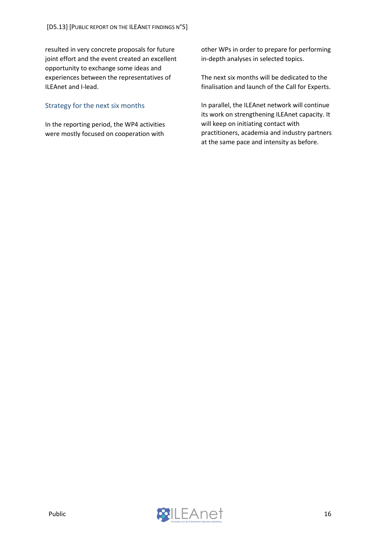resulted in very concrete proposals for future joint effort and the event created an excellent opportunity to exchange some ideas and experiences between the representatives of ILEAnet and I-lead.

#### <span id="page-16-0"></span>Strategy for the next six months

In the reporting period, the WP4 activities were mostly focused on cooperation with

other WPs in order to prepare for performing in-depth analyses in selected topics.

The next six months will be dedicated to the finalisation and launch of the Call for Experts.

In parallel, the ILEAnet network will continue its work on strengthening ILEAnet capacity. It will keep on initiating contact with practitioners, academia and industry partners at the same pace and intensity as before.

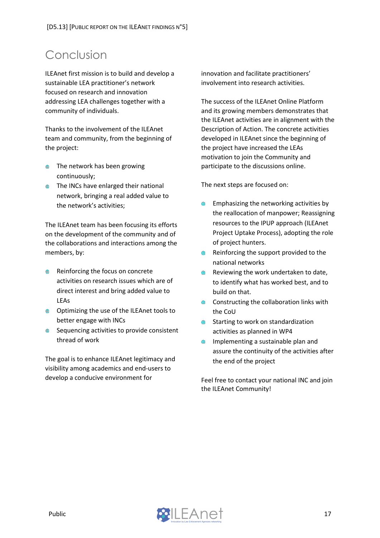# <span id="page-17-0"></span>Conclusion

ILEAnet first mission is to build and develop a sustainable LEA practitioner's network focused on research and innovation addressing LEA challenges together with a community of individuals.

Thanks to the involvement of the ILEAnet team and community, from the beginning of the project:

- **The network has been growing** continuously;
- **The INCs have enlarged their national** network, bringing a real added value to the network's activities;

The ILEAnet team has been focusing its efforts on the development of the community and of the collaborations and interactions among the members, by:

- Reinforcing the focus on concrete activities on research issues which are of direct interest and bring added value to LEAs
- **Optimizing the use of the ILEAnet tools to** better engage with INCs
- **●** Sequencing activities to provide consistent thread of work

The goal is to enhance ILEAnet legitimacy and visibility among academics and end-users to develop a conducive environment for

innovation and facilitate practitioners' involvement into research activities.

The success of the ILEAnet Online Platform and its growing members demonstrates that the ILEAnet activities are in alignment with the Description of Action. The concrete activities developed in ILEAnet since the beginning of the project have increased the LEAs motivation to join the Community and participate to the discussions online.

The next steps are focused on:

- Emphasizing the networking activities by  $\blacksquare$ the reallocation of manpower; Reassigning resources to the IPUP approach (ILEAnet Project Uptake Process), adopting the role of project hunters.
- $\qquad \qquad \bullet$ Reinforcing the support provided to the national networks
- Reviewing the work undertaken to date, ● to identify what has worked best, and to build on that.
- $\qquad \qquad \oplus$ Constructing the collaboration links with the CoU
- Starting to work on standardization  $\oplus$ activities as planned in WP4
- $\qquad \qquad \oplus$ Implementing a sustainable plan and assure the continuity of the activities after the end of the project

Feel free to contact your national INC and join the ILEAnet Community!